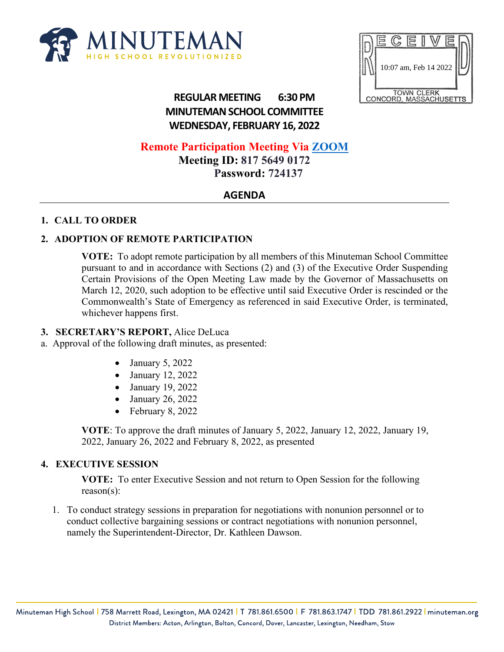



# **REGULAR MEETING 6:30 PM MINUTEMAN SCHOOL COMMITTEE WEDNESDAY, FEBRUARY 16, 2022**

# **Remote Participation Meeting Via [ZOOM](about:blank)**

**Meeting ID: 817 5649 0172 Password: 724137**

# **AGENDA**

### **1. CALL TO ORDER**

### **2. ADOPTION OF REMOTE PARTICIPATION**

**VOTE:** To adopt remote participation by all members of this Minuteman School Committee pursuant to and in accordance with Sections (2) and (3) of the Executive Order Suspending Certain Provisions of the Open Meeting Law made by the Governor of Massachusetts on March 12, 2020, such adoption to be effective until said Executive Order is rescinded or the Commonwealth's State of Emergency as referenced in said Executive Order, is terminated, whichever happens first.

### **3. SECRETARY'S REPORT,** Alice DeLuca

- a. Approval of the following draft minutes, as presented:
	- January 5, 2022
	- January 12, 2022
	- January 19, 2022
	- January 26, 2022
	- February 8, 2022

**VOTE**: To approve the draft minutes of January 5, 2022, January 12, 2022, January 19, 2022, January 26, 2022 and February 8, 2022, as presented

### **4. EXECUTIVE SESSION**

**VOTE:** To enter Executive Session and not return to Open Session for the following reason(s):

1. To conduct strategy sessions in preparation for negotiations with nonunion personnel or to conduct collective bargaining sessions or contract negotiations with nonunion personnel, namely the Superintendent-Director, Dr. Kathleen Dawson.